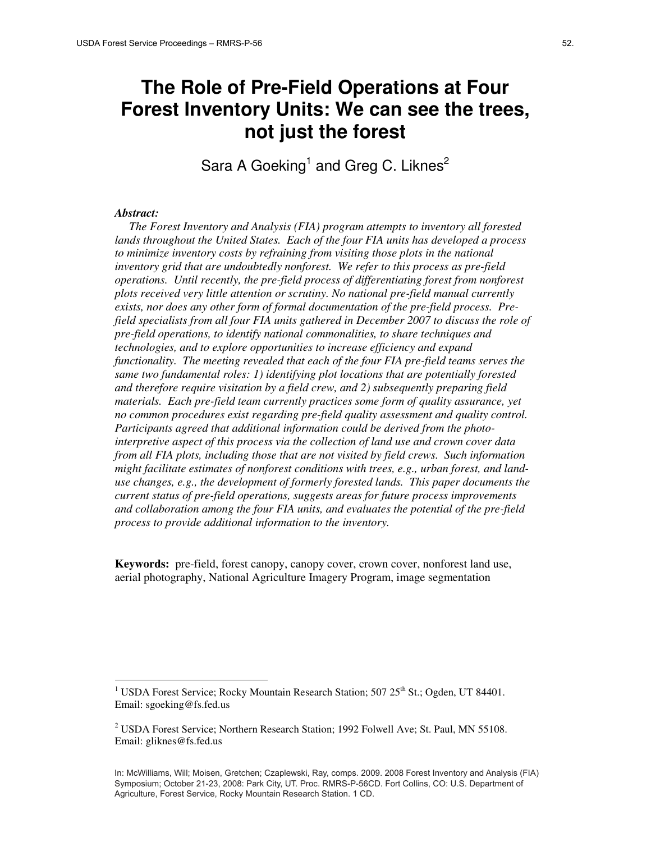# **The Role of Pre-Field Operations at Four Forest Inventory Units: We can see the trees, not just the forest**

Sara A Goeking<sup>1</sup> and Greg C. Liknes<sup>2</sup>

#### *Abstract:*

 *The Forest Inventory and Analysis (FIA) program attempts to inventory all forested lands throughout the United States. Each of the four FIA units has developed a process to minimize inventory costs by refraining from visiting those plots in the national inventory grid that are undoubtedly nonforest. We refer to this process as pre-field operations. Until recently, the pre-field process of differentiating forest from nonforest plots received very little attention or scrutiny. No national pre-field manual currently exists, nor does any other form of formal documentation of the pre-field process. Prefield specialists from all four FIA units gathered in December 2007 to discuss the role of pre-field operations, to identify national commonalities, to share techniques and technologies, and to explore opportunities to increase efficiency and expand functionality. The meeting revealed that each of the four FIA pre-field teams serves the same two fundamental roles: 1) identifying plot locations that are potentially forested and therefore require visitation by a field crew, and 2) subsequently preparing field materials. Each pre-field team currently practices some form of quality assurance, yet no common procedures exist regarding pre-field quality assessment and quality control. Participants agreed that additional information could be derived from the photointerpretive aspect of this process via the collection of land use and crown cover data from all FIA plots, including those that are not visited by field crews. Such information might facilitate estimates of nonforest conditions with trees, e.g., urban forest, and landuse changes, e.g., the development of formerly forested lands. This paper documents the current status of pre-field operations, suggests areas for future process improvements and collaboration among the four FIA units, and evaluates the potential of the pre-field process to provide additional information to the inventory.* 

**Keywords:** pre-field, forest canopy, canopy cover, crown cover, nonforest land use, aerial photography, National Agriculture Imagery Program, image segmentation

<sup>1&</sup>lt;br>
<sup>1</sup> USDA Forest Service; Rocky Mountain Research Station; 507 25<sup>th</sup> St.; Ogden, UT 84401. Email: sgoeking@fs.fed.us

<sup>&</sup>lt;sup>2</sup> USDA Forest Service; Northern Research Station; 1992 Folwell Ave; St. Paul, MN 55108. Email: gliknes@fs.fed.us

 Symposium; October 21-23, 2008: Park City, UT. Proc. RMRS-P-56CD. Fort Collins, CO: U.S. Department of In: McWilliams, Will; Moisen, Gretchen; Czaplewski, Ray, comps. 2009. 2008 Forest Inventory and Analysis (FIA) Agriculture, Forest Service, Rocky Mountain Research Station. 1 CD.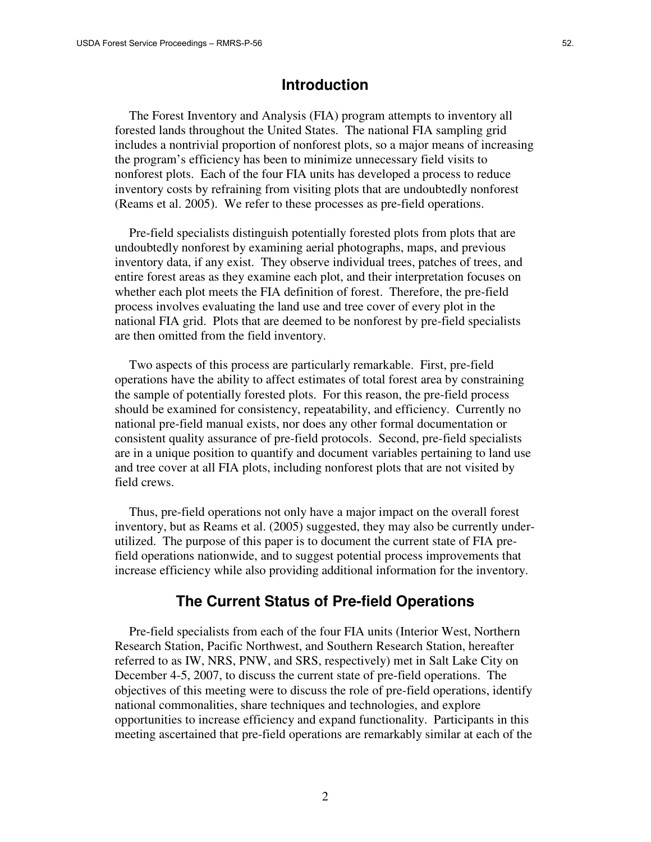### **Introduction**

 The Forest Inventory and Analysis (FIA) program attempts to inventory all forested lands throughout the United States. The national FIA sampling grid includes a nontrivial proportion of nonforest plots, so a major means of increasing the program's efficiency has been to minimize unnecessary field visits to nonforest plots. Each of the four FIA units has developed a process to reduce inventory costs by refraining from visiting plots that are undoubtedly nonforest (Reams et al. 2005). We refer to these processes as pre-field operations.

 Pre-field specialists distinguish potentially forested plots from plots that are undoubtedly nonforest by examining aerial photographs, maps, and previous inventory data, if any exist. They observe individual trees, patches of trees, and entire forest areas as they examine each plot, and their interpretation focuses on whether each plot meets the FIA definition of forest. Therefore, the pre-field process involves evaluating the land use and tree cover of every plot in the national FIA grid. Plots that are deemed to be nonforest by pre-field specialists are then omitted from the field inventory.

 Two aspects of this process are particularly remarkable. First, pre-field operations have the ability to affect estimates of total forest area by constraining the sample of potentially forested plots. For this reason, the pre-field process should be examined for consistency, repeatability, and efficiency. Currently no national pre-field manual exists, nor does any other formal documentation or consistent quality assurance of pre-field protocols. Second, pre-field specialists are in a unique position to quantify and document variables pertaining to land use and tree cover at all FIA plots, including nonforest plots that are not visited by field crews.

 Thus, pre-field operations not only have a major impact on the overall forest inventory, but as Reams et al. (2005) suggested, they may also be currently underutilized. The purpose of this paper is to document the current state of FIA prefield operations nationwide, and to suggest potential process improvements that increase efficiency while also providing additional information for the inventory.

### **The Current Status of Pre-field Operations**

 Pre-field specialists from each of the four FIA units (Interior West, Northern Research Station, Pacific Northwest, and Southern Research Station, hereafter referred to as IW, NRS, PNW, and SRS, respectively) met in Salt Lake City on December 4-5, 2007, to discuss the current state of pre-field operations. The objectives of this meeting were to discuss the role of pre-field operations, identify national commonalities, share techniques and technologies, and explore opportunities to increase efficiency and expand functionality. Participants in this meeting ascertained that pre-field operations are remarkably similar at each of the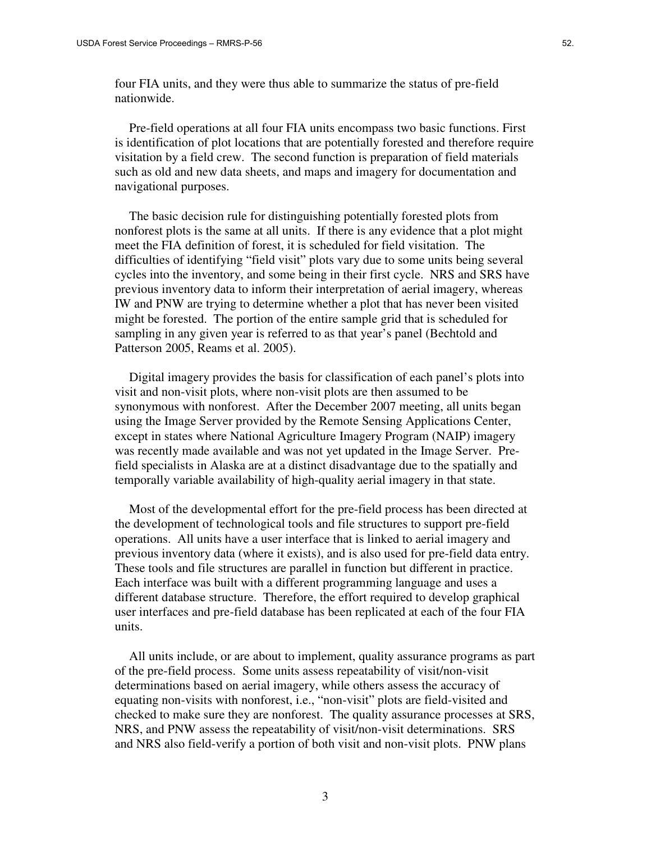four FIA units, and they were thus able to summarize the status of pre-field nationwide.

Pre-field operations at all four FIA units encompass two basic functions. First is identification of plot locations that are potentially forested and therefore require visitation by a field crew. The second function is preparation of field materials such as old and new data sheets, and maps and imagery for documentation and navigational purposes.

 The basic decision rule for distinguishing potentially forested plots from nonforest plots is the same at all units. If there is any evidence that a plot might meet the FIA definition of forest, it is scheduled for field visitation. The difficulties of identifying "field visit" plots vary due to some units being several cycles into the inventory, and some being in their first cycle. NRS and SRS have previous inventory data to inform their interpretation of aerial imagery, whereas IW and PNW are trying to determine whether a plot that has never been visited might be forested. The portion of the entire sample grid that is scheduled for sampling in any given year is referred to as that year's panel (Bechtold and Patterson 2005, Reams et al. 2005).

 Digital imagery provides the basis for classification of each panel's plots into visit and non-visit plots, where non-visit plots are then assumed to be synonymous with nonforest. After the December 2007 meeting, all units began using the Image Server provided by the Remote Sensing Applications Center, except in states where National Agriculture Imagery Program (NAIP) imagery was recently made available and was not yet updated in the Image Server. Prefield specialists in Alaska are at a distinct disadvantage due to the spatially and temporally variable availability of high-quality aerial imagery in that state.

 Most of the developmental effort for the pre-field process has been directed at the development of technological tools and file structures to support pre-field operations. All units have a user interface that is linked to aerial imagery and previous inventory data (where it exists), and is also used for pre-field data entry. These tools and file structures are parallel in function but different in practice. Each interface was built with a different programming language and uses a different database structure. Therefore, the effort required to develop graphical user interfaces and pre-field database has been replicated at each of the four FIA units.

 All units include, or are about to implement, quality assurance programs as part of the pre-field process. Some units assess repeatability of visit/non-visit determinations based on aerial imagery, while others assess the accuracy of equating non-visits with nonforest, i.e., "non-visit" plots are field-visited and checked to make sure they are nonforest. The quality assurance processes at SRS, NRS, and PNW assess the repeatability of visit/non-visit determinations. SRS and NRS also field-verify a portion of both visit and non-visit plots. PNW plans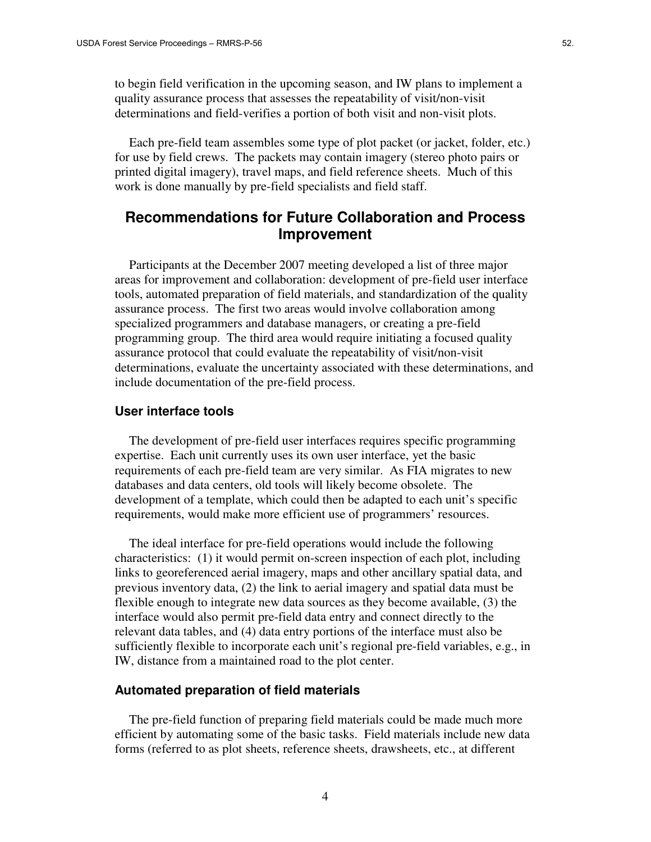to begin field verification in the upcoming season, and IW plans to implement a quality assurance process that assesses the repeatability of visit/non-visit determinations and field-verifies a portion of both visit and non-visit plots.

 Each pre-field team assembles some type of plot packet (or jacket, folder, etc.) for use by field crews. The packets may contain imagery (stereo photo pairs or printed digital imagery), travel maps, and field reference sheets. Much of this work is done manually by pre-field specialists and field staff.

## **Recommendations for Future Collaboration and Process Improvement**

 Participants at the December 2007 meeting developed a list of three major areas for improvement and collaboration: development of pre-field user interface tools, automated preparation of field materials, and standardization of the quality assurance process. The first two areas would involve collaboration among specialized programmers and database managers, or creating a pre-field programming group. The third area would require initiating a focused quality assurance protocol that could evaluate the repeatability of visit/non-visit determinations, evaluate the uncertainty associated with these determinations, and include documentation of the pre-field process.

#### **User interface tools**

 The development of pre-field user interfaces requires specific programming expertise. Each unit currently uses its own user interface, yet the basic requirements of each pre-field team are very similar. As FIA migrates to new databases and data centers, old tools will likely become obsolete. The development of a template, which could then be adapted to each unit's specific requirements, would make more efficient use of programmers' resources.

 The ideal interface for pre-field operations would include the following characteristics: (1) it would permit on-screen inspection of each plot, including links to georeferenced aerial imagery, maps and other ancillary spatial data, and previous inventory data, (2) the link to aerial imagery and spatial data must be flexible enough to integrate new data sources as they become available, (3) the interface would also permit pre-field data entry and connect directly to the relevant data tables, and (4) data entry portions of the interface must also be sufficiently flexible to incorporate each unit's regional pre-field variables, e.g., in IW, distance from a maintained road to the plot center.

#### **Automated preparation of field materials**

 The pre-field function of preparing field materials could be made much more efficient by automating some of the basic tasks. Field materials include new data forms (referred to as plot sheets, reference sheets, drawsheets, etc., at different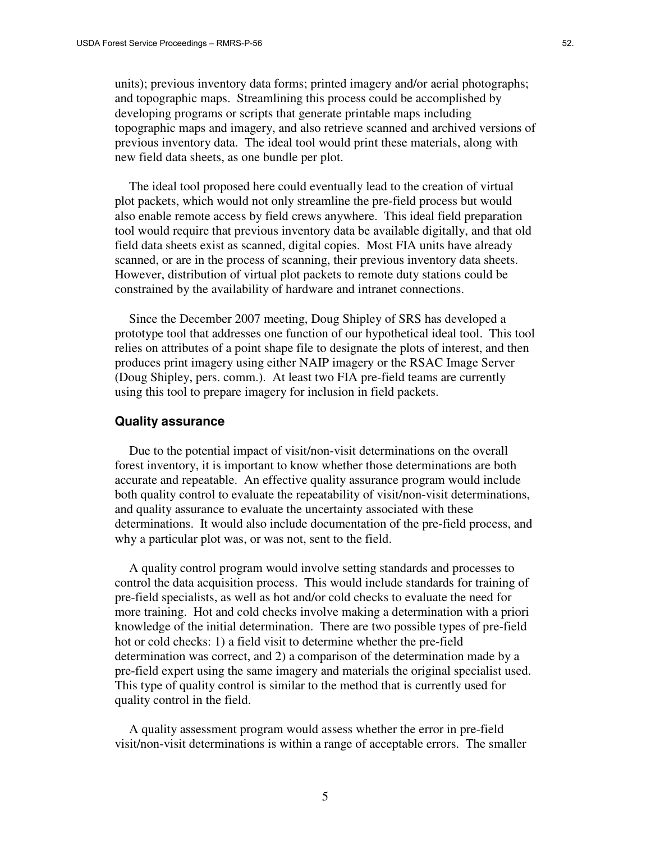units); previous inventory data forms; printed imagery and/or aerial photographs; and topographic maps. Streamlining this process could be accomplished by developing programs or scripts that generate printable maps including topographic maps and imagery, and also retrieve scanned and archived versions of previous inventory data. The ideal tool would print these materials, along with new field data sheets, as one bundle per plot.

 The ideal tool proposed here could eventually lead to the creation of virtual plot packets, which would not only streamline the pre-field process but would also enable remote access by field crews anywhere. This ideal field preparation tool would require that previous inventory data be available digitally, and that old field data sheets exist as scanned, digital copies. Most FIA units have already scanned, or are in the process of scanning, their previous inventory data sheets. However, distribution of virtual plot packets to remote duty stations could be constrained by the availability of hardware and intranet connections.

 Since the December 2007 meeting, Doug Shipley of SRS has developed a prototype tool that addresses one function of our hypothetical ideal tool. This tool relies on attributes of a point shape file to designate the plots of interest, and then produces print imagery using either NAIP imagery or the RSAC Image Server (Doug Shipley, pers. comm.). At least two FIA pre-field teams are currently using this tool to prepare imagery for inclusion in field packets.

#### **Quality assurance**

 Due to the potential impact of visit/non-visit determinations on the overall forest inventory, it is important to know whether those determinations are both accurate and repeatable. An effective quality assurance program would include both quality control to evaluate the repeatability of visit/non-visit determinations, and quality assurance to evaluate the uncertainty associated with these determinations. It would also include documentation of the pre-field process, and why a particular plot was, or was not, sent to the field.

 A quality control program would involve setting standards and processes to control the data acquisition process. This would include standards for training of pre-field specialists, as well as hot and/or cold checks to evaluate the need for more training. Hot and cold checks involve making a determination with a priori knowledge of the initial determination. There are two possible types of pre-field hot or cold checks: 1) a field visit to determine whether the pre-field determination was correct, and 2) a comparison of the determination made by a pre-field expert using the same imagery and materials the original specialist used. This type of quality control is similar to the method that is currently used for quality control in the field.

 A quality assessment program would assess whether the error in pre-field visit/non-visit determinations is within a range of acceptable errors. The smaller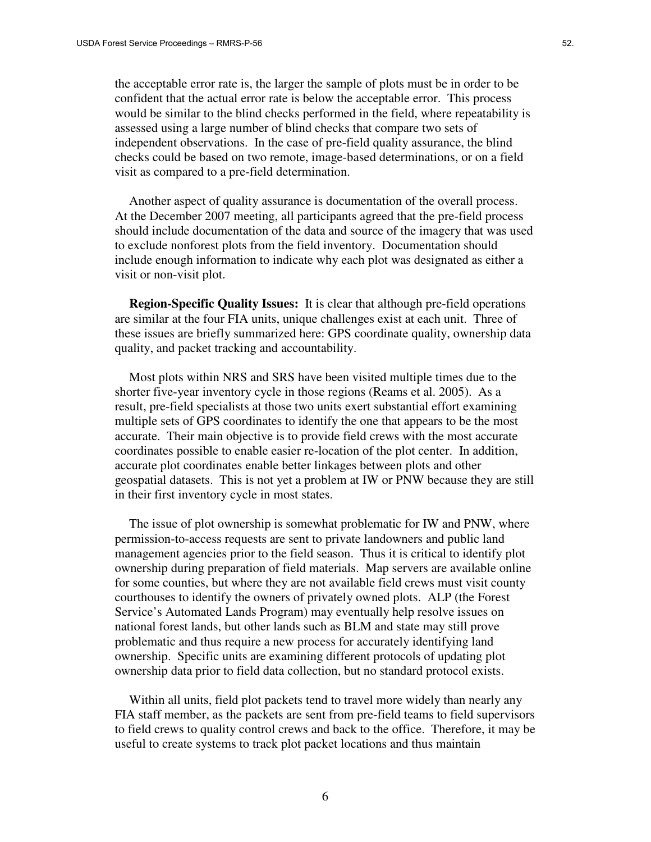the acceptable error rate is, the larger the sample of plots must be in order to be confident that the actual error rate is below the acceptable error. This process would be similar to the blind checks performed in the field, where repeatability is assessed using a large number of blind checks that compare two sets of independent observations. In the case of pre-field quality assurance, the blind checks could be based on two remote, image-based determinations, or on a field visit as compared to a pre-field determination.

 Another aspect of quality assurance is documentation of the overall process. At the December 2007 meeting, all participants agreed that the pre-field process should include documentation of the data and source of the imagery that was used to exclude nonforest plots from the field inventory. Documentation should include enough information to indicate why each plot was designated as either a visit or non-visit plot.

 **Region-Specific Quality Issues:** It is clear that although pre-field operations are similar at the four FIA units, unique challenges exist at each unit. Three of these issues are briefly summarized here: GPS coordinate quality, ownership data quality, and packet tracking and accountability.

 Most plots within NRS and SRS have been visited multiple times due to the shorter five-year inventory cycle in those regions (Reams et al. 2005). As a result, pre-field specialists at those two units exert substantial effort examining multiple sets of GPS coordinates to identify the one that appears to be the most accurate. Their main objective is to provide field crews with the most accurate coordinates possible to enable easier re-location of the plot center. In addition, accurate plot coordinates enable better linkages between plots and other geospatial datasets. This is not yet a problem at IW or PNW because they are still in their first inventory cycle in most states.

 The issue of plot ownership is somewhat problematic for IW and PNW, where permission-to-access requests are sent to private landowners and public land management agencies prior to the field season. Thus it is critical to identify plot ownership during preparation of field materials. Map servers are available online for some counties, but where they are not available field crews must visit county courthouses to identify the owners of privately owned plots. ALP (the Forest Service's Automated Lands Program) may eventually help resolve issues on national forest lands, but other lands such as BLM and state may still prove problematic and thus require a new process for accurately identifying land ownership. Specific units are examining different protocols of updating plot ownership data prior to field data collection, but no standard protocol exists.

 Within all units, field plot packets tend to travel more widely than nearly any FIA staff member, as the packets are sent from pre-field teams to field supervisors to field crews to quality control crews and back to the office. Therefore, it may be useful to create systems to track plot packet locations and thus maintain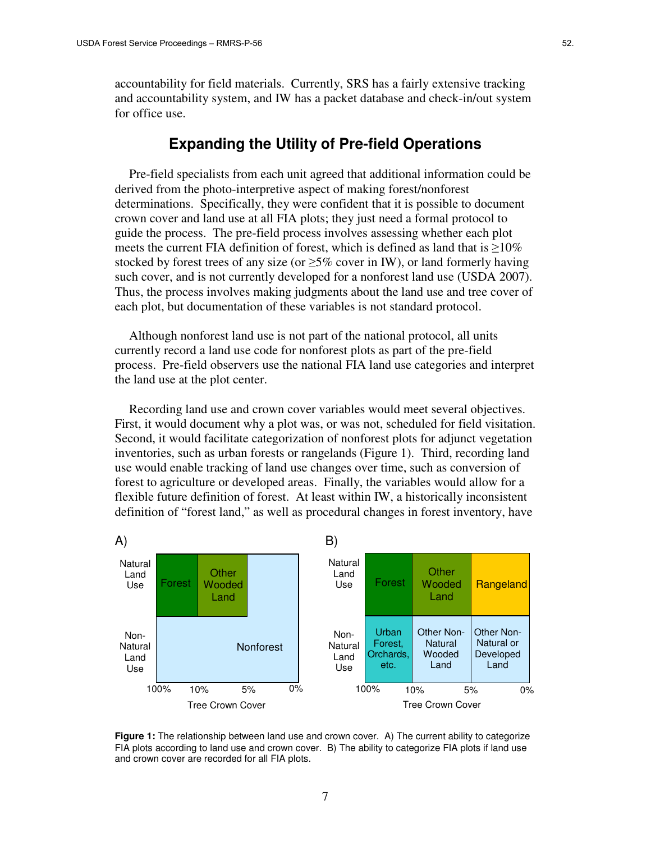accountability for field materials. Currently, SRS has a fairly extensive tracking and accountability system, and IW has a packet database and check-in/out system for office use.

# **Expanding the Utility of Pre-field Operations**

Pre-field specialists from each unit agreed that additional information could be derived from the photo-interpretive aspect of making forest/nonforest determinations. Specifically, they were confident that it is possible to document crown cover and land use at all FIA plots; they just need a formal protocol to guide the process. The pre-field process involves assessing whether each plot meets the current FIA definition of forest, which is defined as land that is  $\geq 10\%$ stocked by forest trees of any size (or  $\geq$ 5% cover in IW), or land formerly having such cover, and is not currently developed for a nonforest land use (USDA 2007). Thus, the process involves making judgments about the land use and tree cover of each plot, but documentation of these variables is not standard protocol.

 Although nonforest land use is not part of the national protocol, all units currently record a land use code for nonforest plots as part of the pre-field process. Pre-field observers use the national FIA land use categories and interpret the land use at the plot center.

 Recording land use and crown cover variables would meet several objectives. First, it would document why a plot was, or was not, scheduled for field visitation. Second, it would facilitate categorization of nonforest plots for adjunct vegetation inventories, such as urban forests or rangelands (Figure 1). Third, recording land use would enable tracking of land use changes over time, such as conversion of forest to agriculture or developed areas. Finally, the variables would allow for a flexible future definition of forest. At least within IW, a historically inconsistent definition of "forest land," as well as procedural changes in forest inventory, have



**Figure 1:** The relationship between land use and crown cover. A) The current ability to categorize FIA plots according to land use and crown cover. B) The ability to categorize FIA plots if land use and crown cover are recorded for all FIA plots.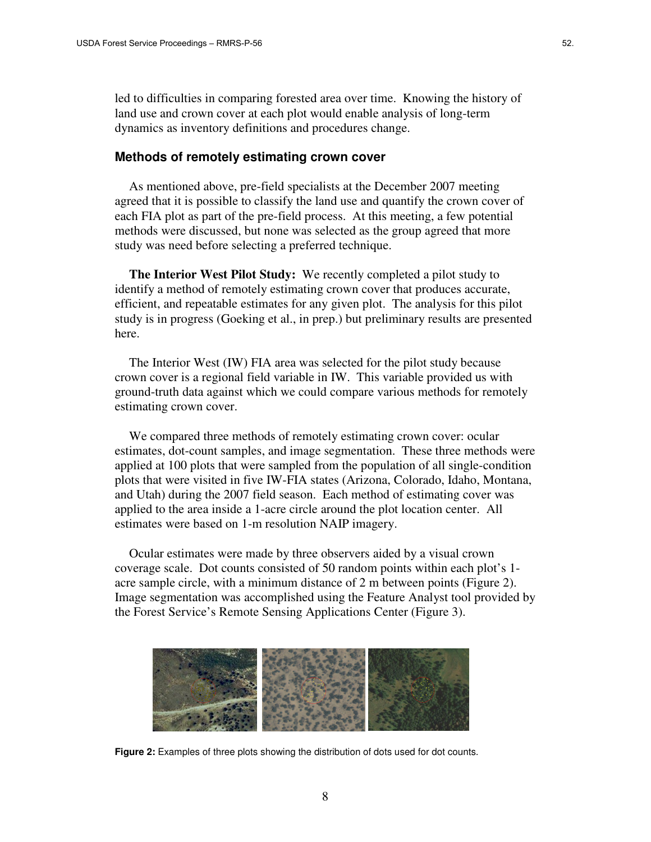led to difficulties in comparing forested area over time. Knowing the history of land use and crown cover at each plot would enable analysis of long-term dynamics as inventory definitions and procedures change.

#### **Methods of remotely estimating crown cover**

 As mentioned above, pre-field specialists at the December 2007 meeting agreed that it is possible to classify the land use and quantify the crown cover of each FIA plot as part of the pre-field process. At this meeting, a few potential methods were discussed, but none was selected as the group agreed that more study was need before selecting a preferred technique.

**The Interior West Pilot Study:** We recently completed a pilot study to identify a method of remotely estimating crown cover that produces accurate, efficient, and repeatable estimates for any given plot. The analysis for this pilot study is in progress (Goeking et al., in prep.) but preliminary results are presented here.

 The Interior West (IW) FIA area was selected for the pilot study because crown cover is a regional field variable in IW. This variable provided us with ground-truth data against which we could compare various methods for remotely estimating crown cover.

 We compared three methods of remotely estimating crown cover: ocular estimates, dot-count samples, and image segmentation. These three methods were applied at 100 plots that were sampled from the population of all single-condition plots that were visited in five IW-FIA states (Arizona, Colorado, Idaho, Montana, and Utah) during the 2007 field season. Each method of estimating cover was applied to the area inside a 1-acre circle around the plot location center. All estimates were based on 1-m resolution NAIP imagery.

 Ocular estimates were made by three observers aided by a visual crown coverage scale. Dot counts consisted of 50 random points within each plot's 1 acre sample circle, with a minimum distance of 2 m between points (Figure 2). Image segmentation was accomplished using the Feature Analyst tool provided by the Forest Service's Remote Sensing Applications Center (Figure 3).



**Figure 2:** Examples of three plots showing the distribution of dots used for dot counts.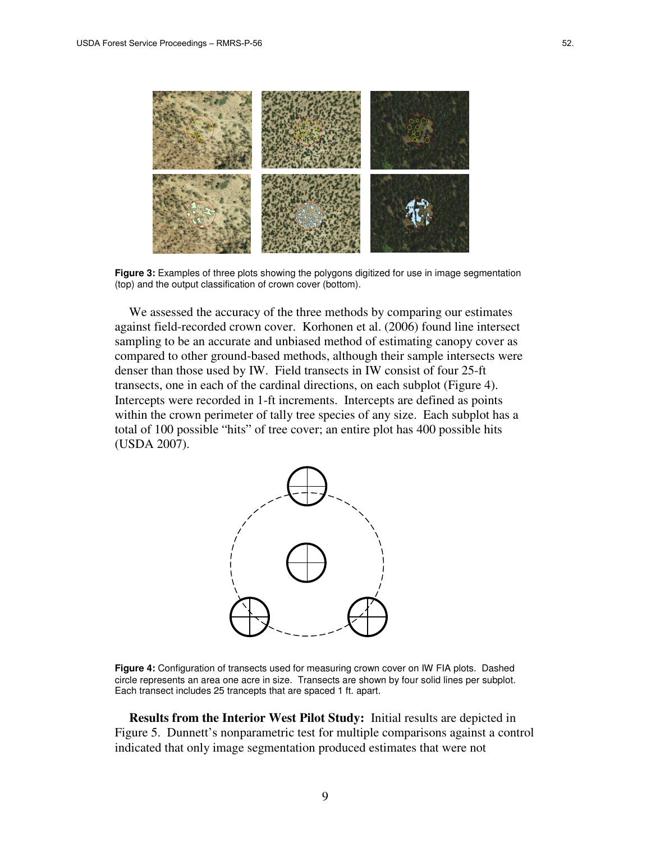

**Figure 3:** Examples of three plots showing the polygons digitized for use in image segmentation (top) and the output classification of crown cover (bottom).

 We assessed the accuracy of the three methods by comparing our estimates against field-recorded crown cover. Korhonen et al. (2006) found line intersect sampling to be an accurate and unbiased method of estimating canopy cover as compared to other ground-based methods, although their sample intersects were denser than those used by IW. Field transects in IW consist of four 25-ft transects, one in each of the cardinal directions, on each subplot (Figure 4). Intercepts were recorded in 1-ft increments. Intercepts are defined as points within the crown perimeter of tally tree species of any size. Each subplot has a total of 100 possible "hits" of tree cover; an entire plot has 400 possible hits (USDA 2007).



**Figure 4:** Configuration of transects used for measuring crown cover on IW FIA plots. Dashed circle represents an area one acre in size. Transects are shown by four solid lines per subplot. Each transect includes 25 trancepts that are spaced 1 ft. apart.

 **Results from the Interior West Pilot Study:** Initial results are depicted in Figure 5. Dunnett's nonparametric test for multiple comparisons against a control indicated that only image segmentation produced estimates that were not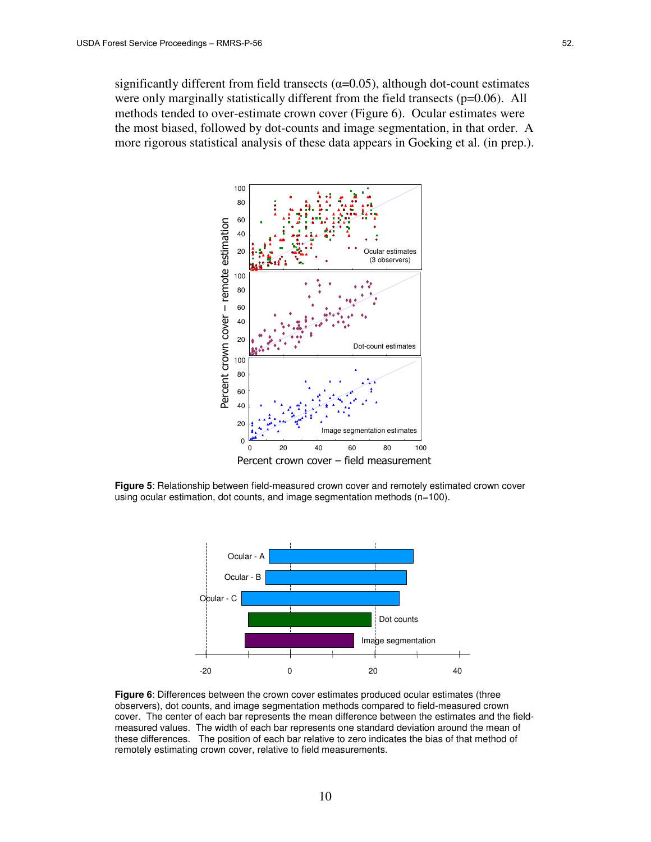significantly different from field transects  $(\alpha=0.05)$ , although dot-count estimates were only marginally statistically different from the field transects (p=0.06). All methods tended to over-estimate crown cover (Figure 6). Ocular estimates were the most biased, followed by dot-counts and image segmentation, in that order. A more rigorous statistical analysis of these data appears in Goeking et al. (in prep.).



**Figure 5**: Relationship between field-measured crown cover and remotely estimated crown cover using ocular estimation, dot counts, and image segmentation methods (n=100).



**Figure 6**: Differences between the crown cover estimates produced ocular estimates (three observers), dot counts, and image segmentation methods compared to field-measured crown cover. The center of each bar represents the mean difference between the estimates and the fieldmeasured values. The width of each bar represents one standard deviation around the mean of these differences. The position of each bar relative to zero indicates the bias of that method of remotely estimating crown cover, relative to field measurements.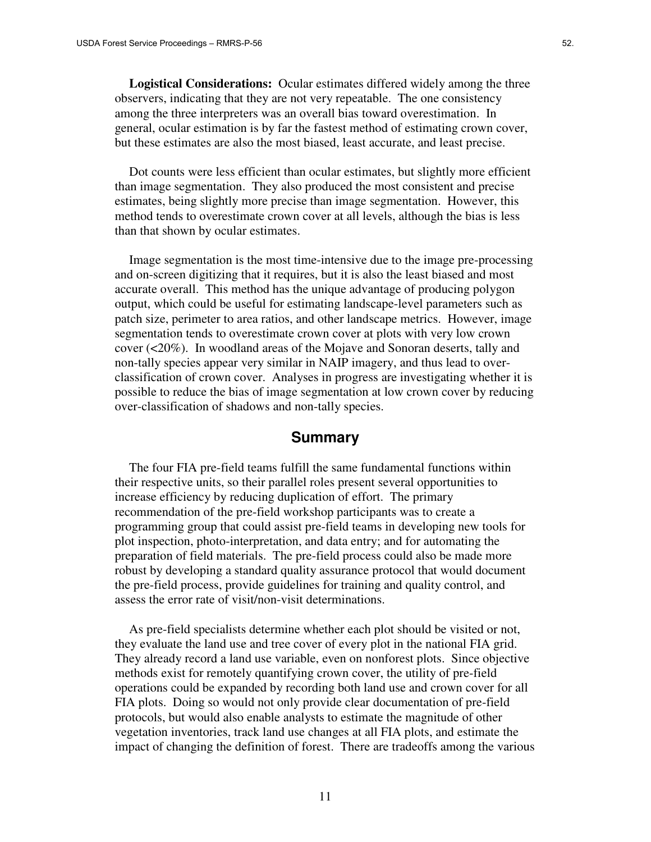**Logistical Considerations:** Ocular estimates differed widely among the three observers, indicating that they are not very repeatable. The one consistency among the three interpreters was an overall bias toward overestimation. In general, ocular estimation is by far the fastest method of estimating crown cover, but these estimates are also the most biased, least accurate, and least precise.

 Dot counts were less efficient than ocular estimates, but slightly more efficient than image segmentation. They also produced the most consistent and precise estimates, being slightly more precise than image segmentation. However, this method tends to overestimate crown cover at all levels, although the bias is less than that shown by ocular estimates.

 Image segmentation is the most time-intensive due to the image pre-processing and on-screen digitizing that it requires, but it is also the least biased and most accurate overall. This method has the unique advantage of producing polygon output, which could be useful for estimating landscape-level parameters such as patch size, perimeter to area ratios, and other landscape metrics. However, image segmentation tends to overestimate crown cover at plots with very low crown cover (<20%). In woodland areas of the Mojave and Sonoran deserts, tally and non-tally species appear very similar in NAIP imagery, and thus lead to overclassification of crown cover. Analyses in progress are investigating whether it is possible to reduce the bias of image segmentation at low crown cover by reducing over-classification of shadows and non-tally species.

## **Summary**

 The four FIA pre-field teams fulfill the same fundamental functions within their respective units, so their parallel roles present several opportunities to increase efficiency by reducing duplication of effort. The primary recommendation of the pre-field workshop participants was to create a programming group that could assist pre-field teams in developing new tools for plot inspection, photo-interpretation, and data entry; and for automating the preparation of field materials. The pre-field process could also be made more robust by developing a standard quality assurance protocol that would document the pre-field process, provide guidelines for training and quality control, and assess the error rate of visit/non-visit determinations.

 As pre-field specialists determine whether each plot should be visited or not, they evaluate the land use and tree cover of every plot in the national FIA grid. They already record a land use variable, even on nonforest plots. Since objective methods exist for remotely quantifying crown cover, the utility of pre-field operations could be expanded by recording both land use and crown cover for all FIA plots. Doing so would not only provide clear documentation of pre-field protocols, but would also enable analysts to estimate the magnitude of other vegetation inventories, track land use changes at all FIA plots, and estimate the impact of changing the definition of forest. There are tradeoffs among the various